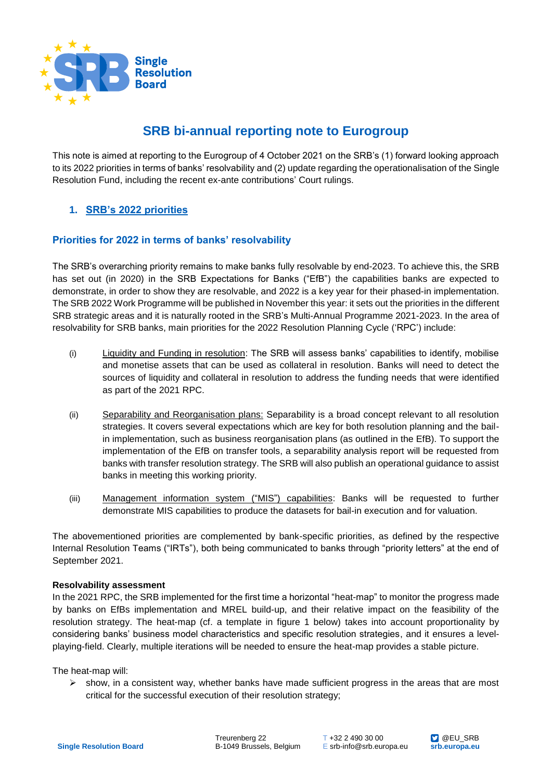

# **SRB bi-annual reporting note to Eurogroup**

This note is aimed at reporting to the Eurogroup of 4 October 2021 on the SRB's (1) forward looking approach to its 2022 priorities in terms of banks' resolvability and (2) update regarding the operationalisation of the Single Resolution Fund, including the recent ex-ante contributions' Court rulings.

## **1. SRB's 2022 priorities**

#### **Priorities for 2022 in terms of banks' resolvability**

The SRB's overarching priority remains to make banks fully resolvable by end-2023. To achieve this, the SRB has set out (in 2020) in the SRB Expectations for Banks ("EfB") the capabilities banks are expected to demonstrate, in order to show they are resolvable, and 2022 is a key year for their phased-in implementation. The SRB 2022 Work Programme will be published in November this year: it sets out the priorities in the different SRB strategic areas and it is naturally rooted in the SRB's Multi-Annual Programme 2021-2023. In the area of resolvability for SRB banks, main priorities for the 2022 Resolution Planning Cycle ('RPC') include:

- (i) Liquidity and Funding in resolution: The SRB will assess banks' capabilities to identify, mobilise and monetise assets that can be used as collateral in resolution. Banks will need to detect the sources of liquidity and collateral in resolution to address the funding needs that were identified as part of the 2021 RPC.
- (ii) Separability and Reorganisation plans: Separability is a broad concept relevant to all resolution strategies. It covers several expectations which are key for both resolution planning and the bailin implementation, such as business reorganisation plans (as outlined in the EfB). To support the implementation of the EfB on transfer tools, a separability analysis report will be requested from banks with transfer resolution strategy. The SRB will also publish an operational guidance to assist banks in meeting this working priority.
- (iii) Management information system ("MIS") capabilities: Banks will be requested to further demonstrate MIS capabilities to produce the datasets for bail-in execution and for valuation.

The abovementioned priorities are complemented by bank-specific priorities, as defined by the respective Internal Resolution Teams ("IRTs"), both being communicated to banks through "priority letters" at the end of September 2021.

#### **Resolvability assessment**

In the 2021 RPC, the SRB implemented for the first time a horizontal "heat-map" to monitor the progress made by banks on EfBs implementation and MREL build-up, and their relative impact on the feasibility of the resolution strategy. The heat-map (cf. a template in figure 1 below) takes into account proportionality by considering banks' business model characteristics and specific resolution strategies, and it ensures a levelplaying-field. Clearly, multiple iterations will be needed to ensure the heat-map provides a stable picture.

The heat-map will:

 $\triangleright$  show, in a consistent way, whether banks have made sufficient progress in the areas that are most critical for the successful execution of their resolution strategy;

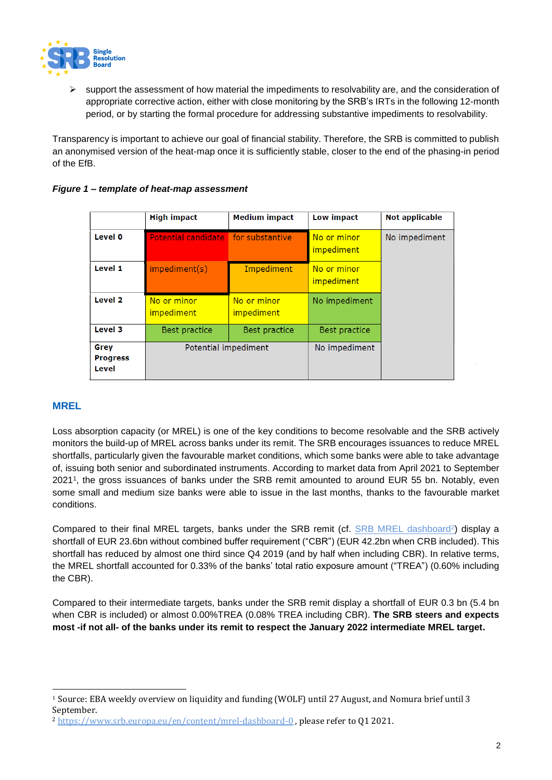

 support the assessment of how material the impediments to resolvability are, and the consideration of appropriate corrective action, either with close monitoring by the SRB's IRTs in the following 12-month period, or by starting the formal procedure for addressing substantive impediments to resolvability.

Transparency is important to achieve our goal of financial stability. Therefore, the SRB is committed to publish an anonymised version of the heat-map once it is sufficiently stable, closer to the end of the phasing-in period of the EfB.

|                                  | <b>High impact</b>                  | <b>Medium impact</b>             | Low impact                       | Not applicable |
|----------------------------------|-------------------------------------|----------------------------------|----------------------------------|----------------|
| Level 0                          | Potential candidate for substantive |                                  | No or minor<br><i>impediment</i> | No impediment  |
| Level 1                          | impediment(s)                       | Impediment                       | No or minor<br><i>impediment</i> |                |
| Level <sub>2</sub>               | No or minor<br><i>impediment</i>    | No or minor<br><i>impediment</i> | No impediment                    |                |
| Level 3                          | <b>Best practice</b>                | Best practice                    | Best practice                    |                |
| Grey<br><b>Progress</b><br>Level | Potential impediment                |                                  | No impediment                    |                |

### *Figure 1 – template of heat-map assessment*

## **MREL**

 $\overline{a}$ 

Loss absorption capacity (or MREL) is one of the key conditions to become resolvable and the SRB actively monitors the build-up of MREL across banks under its remit. The SRB encourages issuances to reduce MREL shortfalls, particularly given the favourable market conditions, which some banks were able to take advantage of, issuing both senior and subordinated instruments. According to market data from April 2021 to September 2021<sup>1</sup> , the gross issuances of banks under the SRB remit amounted to around EUR 55 bn. Notably, even some small and medium size banks were able to issue in the last months, thanks to the favourable market conditions.

Compared to their final MREL targets, banks under the SRB remit (cf. **SRB MREL dashboard**<sup>2</sup>) display a shortfall of EUR 23.6bn without combined buffer requirement ("CBR") (EUR 42.2bn when CRB included). This shortfall has reduced by almost one third since Q4 2019 (and by half when including CBR). In relative terms, the MREL shortfall accounted for 0.33% of the banks' total ratio exposure amount ("TREA") (0.60% including the CBR).

Compared to their intermediate targets, banks under the SRB remit display a shortfall of EUR 0.3 bn (5.4 bn when CBR is included) or almost 0.00%TREA (0.08% TREA including CBR). **The SRB steers and expects most -if not all- of the banks under its remit to respect the January 2022 intermediate MREL target.**

<sup>1</sup> Source: EBA weekly overview on liquidity and funding (WOLF) until 27 August, and Nomura brief until 3 September.

<sup>&</sup>lt;sup>2</sup> <https://www.srb.europa.eu/en/content/mrel-dashboard-0>, please refer to Q1 2021.